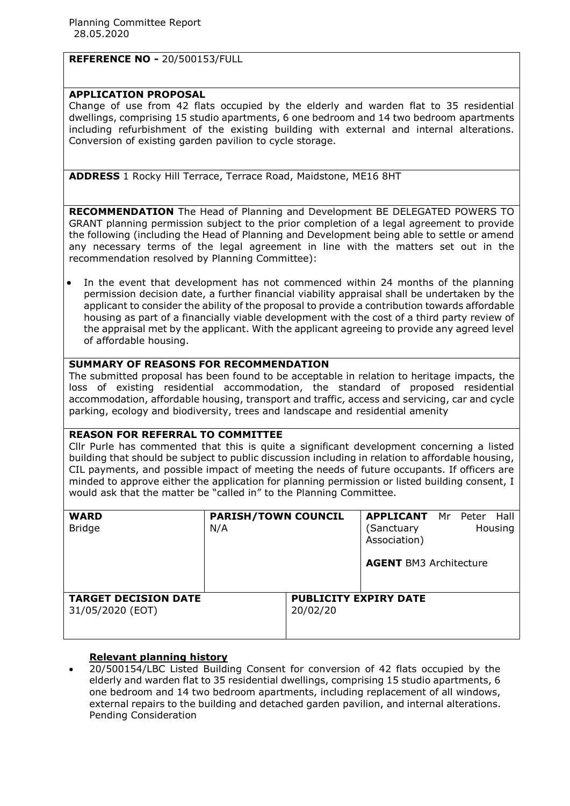# **REFERENCE NO -** 20/500153/FULL

## **APPLICATION PROPOSAL**

Change of use from 42 flats occupied by the elderly and warden flat to 35 residential dwellings, comprising 15 studio apartments, 6 one bedroom and 14 two bedroom apartments including refurbishment of the existing building with external and internal alterations. Conversion of existing garden pavilion to cycle storage.

**ADDRESS** 1 Rocky Hill Terrace, Terrace Road, Maidstone, ME16 8HT

**RECOMMENDATION** The Head of Planning and Development BE DELEGATED POWERS TO GRANT planning permission subject to the prior completion of a legal agreement to provide the following (including the Head of Planning and Development being able to settle or amend any necessary terms of the legal agreement in line with the matters set out in the recommendation resolved by Planning Committee):

 In the event that development has not commenced within 24 months of the planning permission decision date, a further financial viability appraisal shall be undertaken by the applicant to consider the ability of the proposal to provide a contribution towards affordable housing as part of a financially viable development with the cost of a third party review of the appraisal met by the applicant. With the applicant agreeing to provide any agreed level of affordable housing.

## **SUMMARY OF REASONS FOR RECOMMENDATION**

The submitted proposal has been found to be acceptable in relation to heritage impacts, the loss of existing residential accommodation, the standard of proposed residential accommodation, affordable housing, transport and traffic, access and servicing, car and cycle parking, ecology and biodiversity, trees and landscape and residential amenity

## **REASON FOR REFERRAL TO COMMITTEE**

Cllr Purle has commented that this is quite a significant development concerning a listed building that should be subject to public discussion including in relation to affordable housing, CIL payments, and possible impact of meeting the needs of future occupants. If officers are minded to approve either the application for planning permission or listed building consent, I would ask that the matter be "called in" to the Planning Committee.

| <b>WARD</b><br><b>Bridge</b>                    | <b>PARISH/TOWN COUNCIL</b><br>N/A |                                          | <b>APPLICANT</b><br>(Sanctuary<br>Association)<br><b>AGENT BM3 Architecture</b> | Mr Peter | Hall<br>Housing |
|-------------------------------------------------|-----------------------------------|------------------------------------------|---------------------------------------------------------------------------------|----------|-----------------|
| <b>TARGET DECISION DATE</b><br>31/05/2020 (EOT) |                                   | <b>PUBLICITY EXPIRY DATE</b><br>20/02/20 |                                                                                 |          |                 |

## **Relevant planning history**

 20/500154/LBC Listed Building Consent for conversion of 42 flats occupied by the elderly and warden flat to 35 residential dwellings, comprising 15 studio apartments, 6 one bedroom and 14 two bedroom apartments, including replacement of all windows, external repairs to the building and detached garden pavilion, and internal alterations. Pending Consideration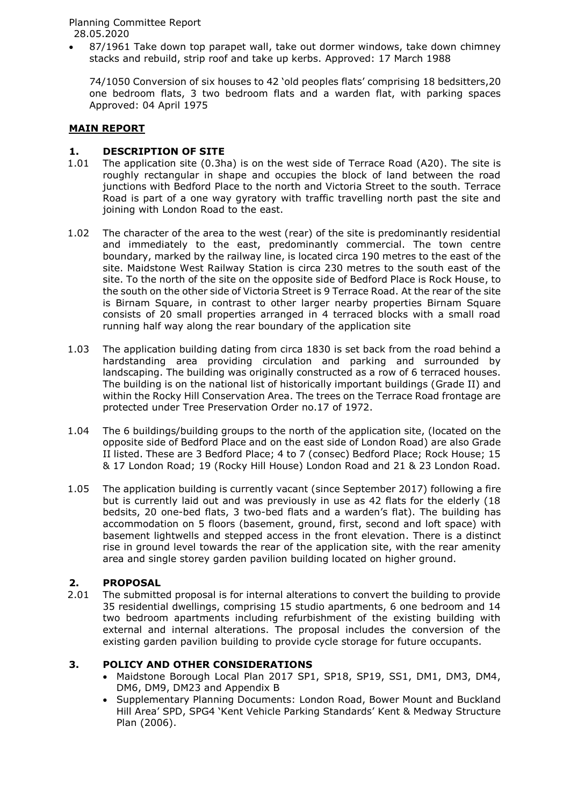87/1961 Take down top parapet wall, take out dormer windows, take down chimney stacks and rebuild, strip roof and take up kerbs. Approved: 17 March 1988

74/1050 Conversion of six houses to 42 'old peoples flats' comprising 18 bedsitters,20 one bedroom flats, 3 two bedroom flats and a warden flat, with parking spaces Approved: 04 April 1975

## **MAIN REPORT**

# **1. DESCRIPTION OF SITE** 1.01 The application site (0.3h)

- The application site (0.3ha) is on the west side of Terrace Road (A20). The site is roughly rectangular in shape and occupies the block of land between the road junctions with Bedford Place to the north and Victoria Street to the south. Terrace Road is part of a one way gyratory with traffic travelling north past the site and joining with London Road to the east.
- 1.02 The character of the area to the west (rear) of the site is predominantly residential and immediately to the east, predominantly commercial. The town centre boundary, marked by the railway line, is located circa 190 metres to the east of the site. Maidstone West Railway Station is circa 230 metres to the south east of the site. To the north of the site on the opposite side of Bedford Place is Rock House, to the south on the other side of Victoria Street is 9 Terrace Road. At the rear of the site is Birnam Square, in contrast to other larger nearby properties Birnam Square consists of 20 small properties arranged in 4 terraced blocks with a small road running half way along the rear boundary of the application site
- 1.03 The application building dating from circa 1830 is set back from the road behind a hardstanding area providing circulation and parking and surrounded by landscaping. The building was originally constructed as a row of 6 terraced houses. The building is on the national list of historically important buildings (Grade II) and within the Rocky Hill Conservation Area. The trees on the Terrace Road frontage are protected under Tree Preservation Order no.17 of 1972.
- 1.04 The 6 buildings/building groups to the north of the application site, (located on the opposite side of Bedford Place and on the east side of London Road) are also Grade II listed. These are 3 Bedford Place; 4 to 7 (consec) Bedford Place; Rock House; 15 & 17 London Road; 19 (Rocky Hill House) London Road and 21 & 23 London Road.
- 1.05 The application building is currently vacant (since September 2017) following a fire but is currently laid out and was previously in use as 42 flats for the elderly (18 bedsits, 20 one-bed flats, 3 two-bed flats and a warden's flat). The building has accommodation on 5 floors (basement, ground, first, second and loft space) with basement lightwells and stepped access in the front elevation. There is a distinct rise in ground level towards the rear of the application site, with the rear amenity area and single storey garden pavilion building located on higher ground.

## **2. PROPOSAL**

2.01 The submitted proposal is for internal alterations to convert the building to provide 35 residential dwellings, comprising 15 studio apartments, 6 one bedroom and 14 two bedroom apartments including refurbishment of the existing building with external and internal alterations. The proposal includes the conversion of the existing garden pavilion building to provide cycle storage for future occupants.

# **3. POLICY AND OTHER CONSIDERATIONS**

- Maidstone Borough Local Plan 2017 SP1, SP18, SP19, SS1, DM1, DM3, DM4, DM6, DM9, DM23 and Appendix B
- Supplementary Planning Documents: London Road, Bower Mount and Buckland Hill Area' SPD, SPG4 'Kent Vehicle Parking Standards' Kent & Medway Structure Plan (2006).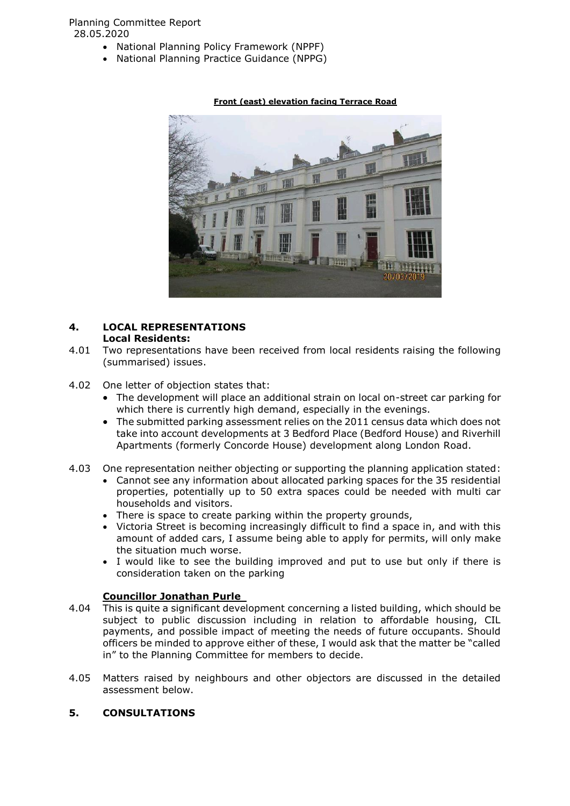- National Planning Policy Framework (NPPF)
- National Planning Practice Guidance (NPPG)



## **Front (east) elevation facing Terrace Road**

#### **4. LOCAL REPRESENTATIONS Local Residents:**

- 4.01 Two representations have been received from local residents raising the following (summarised) issues.
- 4.02 One letter of objection states that:
	- The development will place an additional strain on local on-street car parking for which there is currently high demand, especially in the evenings.
	- The submitted parking assessment relies on the 2011 census data which does not take into account developments at 3 Bedford Place (Bedford House) and Riverhill Apartments (formerly Concorde House) development along London Road.
- 4.03 One representation neither objecting or supporting the planning application stated:
	- Cannot see any information about allocated parking spaces for the 35 residential properties, potentially up to 50 extra spaces could be needed with multi car households and visitors.
	- There is space to create parking within the property grounds,
	- Victoria Street is becoming increasingly difficult to find a space in, and with this amount of added cars, I assume being able to apply for permits, will only make the situation much worse.
	- I would like to see the building improved and put to use but only if there is consideration taken on the parking

# **Councillor Jonathan Purle**

- 4.04 This is quite a significant development concerning a listed building, which should be subject to public discussion including in relation to affordable housing, CIL payments, and possible impact of meeting the needs of future occupants. Should officers be minded to approve either of these, I would ask that the matter be "called in" to the Planning Committee for members to decide.
- 4.05 Matters raised by neighbours and other objectors are discussed in the detailed assessment below.

# **5. CONSULTATIONS**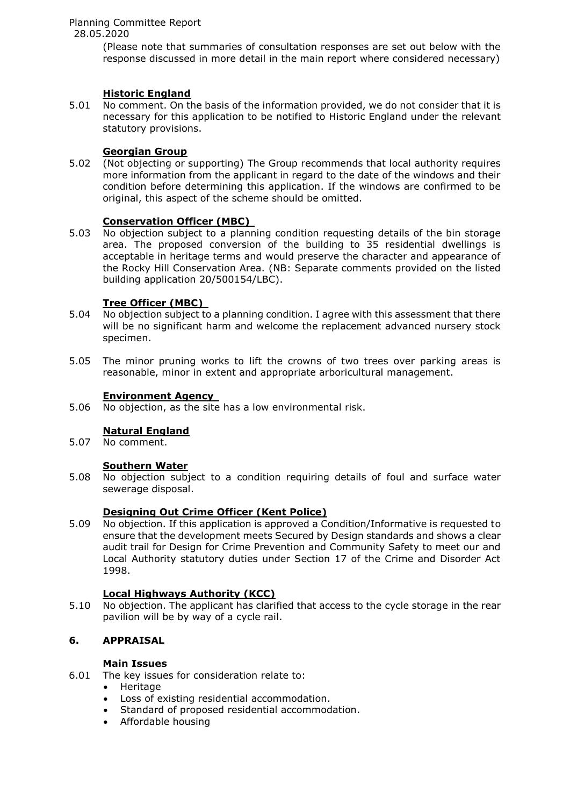Planning Committee Report

28.05.2020

(Please note that summaries of consultation responses are set out below with the response discussed in more detail in the main report where considered necessary)

## **Historic England**

5.01 No comment. On the basis of the information provided, we do not consider that it is necessary for this application to be notified to Historic England under the relevant statutory provisions.

# **Georgian Group**

5.02 (Not objecting or supporting) The Group recommends that local authority requires more information from the applicant in regard to the date of the windows and their condition before determining this application. If the windows are confirmed to be original, this aspect of the scheme should be omitted.

## **Conservation Officer (MBC)**

5.03 No objection subject to a planning condition requesting details of the bin storage area. The proposed conversion of the building to 35 residential dwellings is acceptable in heritage terms and would preserve the character and appearance of the Rocky Hill Conservation Area. (NB: Separate comments provided on the listed building application 20/500154/LBC).

## **Tree Officer (MBC)**

- 5.04 No objection subject to a planning condition. I agree with this assessment that there will be no significant harm and welcome the replacement advanced nursery stock specimen.
- 5.05 The minor pruning works to lift the crowns of two trees over parking areas is reasonable, minor in extent and appropriate arboricultural management.

## **Environment Agency**

5.06 No objection, as the site has a low environmental risk.

# **Natural England**

5.07 No comment.

## **Southern Water**

5.08 No objection subject to a condition requiring details of foul and surface water sewerage disposal.

## **Designing Out Crime Officer (Kent Police)**

5.09 No objection. If this application is approved a Condition/Informative is requested to ensure that the development meets Secured by Design standards and shows a clear audit trail for Design for Crime Prevention and Community Safety to meet our and Local Authority statutory duties under Section 17 of the Crime and Disorder Act 1998.

## **Local Highways Authority (KCC)**

5.10 No objection. The applicant has clarified that access to the cycle storage in the rear pavilion will be by way of a cycle rail.

## **6. APPRAISAL**

## **Main Issues**

- 6.01 The key issues for consideration relate to:
	- Heritage
	- Loss of existing residential accommodation.
	- Standard of proposed residential accommodation.
	- Affordable housing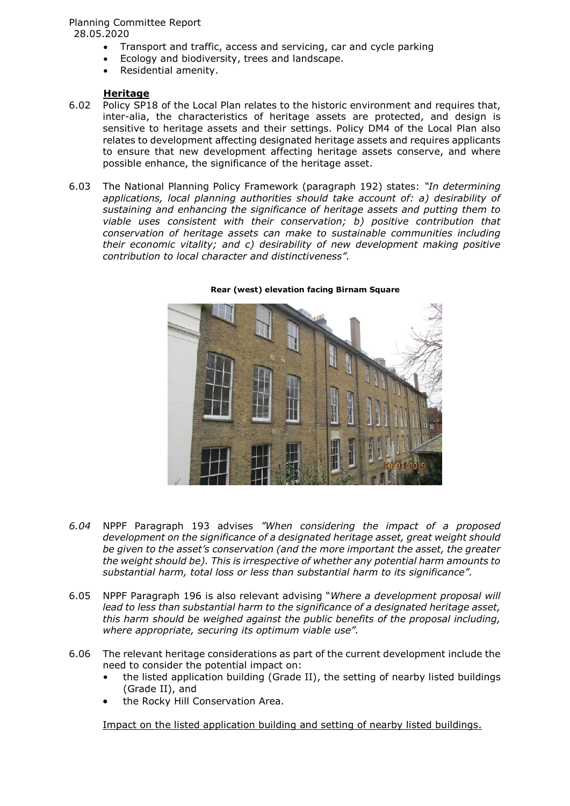- Transport and traffic, access and servicing, car and cycle parking
- Ecology and biodiversity, trees and landscape.
- Residential amenity.

#### **Heritage**

- 6.02 Policy SP18 of the Local Plan relates to the historic environment and requires that, inter-alia, the characteristics of heritage assets are protected, and design is sensitive to heritage assets and their settings. Policy DM4 of the Local Plan also relates to development affecting designated heritage assets and requires applicants to ensure that new development affecting heritage assets conserve, and where possible enhance, the significance of the heritage asset.
- 6.03 The National Planning Policy Framework (paragraph 192) states: *"In determining applications, local planning authorities should take account of: a) desirability of sustaining and enhancing the significance of heritage assets and putting them to viable uses consistent with their conservation; b) positive contribution that conservation of heritage assets can make to sustainable communities including their economic vitality; and c) desirability of new development making positive contribution to local character and distinctiveness".*



**Rear (west) elevation facing Birnam Square**

- *6.04* NPPF Paragraph 193 advises *"When considering the impact of a proposed development on the significance of a designated heritage asset, great weight should be given to the asset's conservation (and the more important the asset, the greater the weight should be). This is irrespective of whether any potential harm amounts to substantial harm, total loss or less than substantial harm to its significance".*
- 6.05 NPPF Paragraph 196 is also relevant advising "*Where a development proposal will lead to less than substantial harm to the significance of a designated heritage asset, this harm should be weighed against the public benefits of the proposal including, where appropriate, securing its optimum viable use".*
- 6.06 The relevant heritage considerations as part of the current development include the need to consider the potential impact on:
	- the listed application building (Grade II), the setting of nearby listed buildings (Grade II), and
	- the Rocky Hill Conservation Area.

Impact on the listed application building and setting of nearby listed buildings.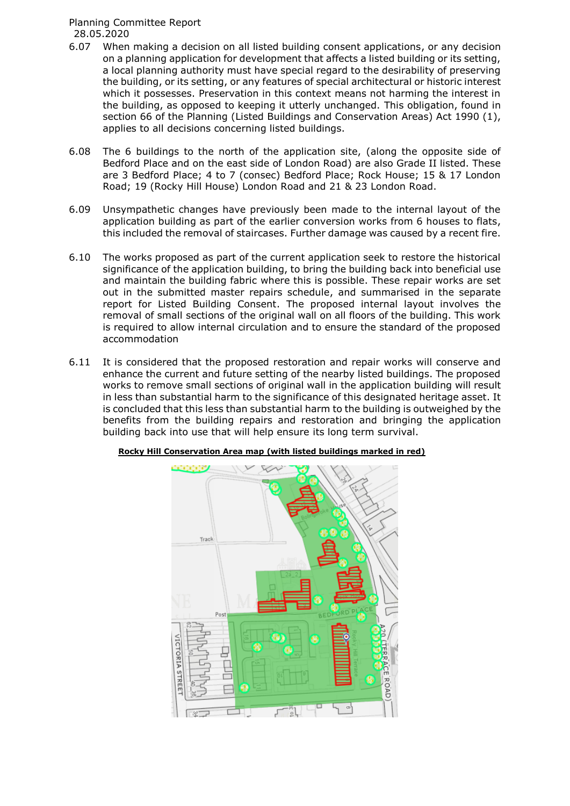- 6.07 When making a decision on all listed building consent applications, or any decision on a planning application for development that affects a listed building or its setting, a local planning authority must have special regard to the desirability of preserving the building, or its setting, or any features of special architectural or historic interest which it possesses. Preservation in this context means not harming the interest in the building, as opposed to keeping it utterly unchanged. This obligation, found in section 66 of the Planning (Listed Buildings and Conservation Areas) Act 1990 (1), applies to all decisions concerning listed buildings.
- 6.08 The 6 buildings to the north of the application site, (along the opposite side of Bedford Place and on the east side of London Road) are also Grade II listed. These are 3 Bedford Place; 4 to 7 (consec) Bedford Place; Rock House; 15 & 17 London Road; 19 (Rocky Hill House) London Road and 21 & 23 London Road.
- 6.09 Unsympathetic changes have previously been made to the internal layout of the application building as part of the earlier conversion works from 6 houses to flats, this included the removal of staircases. Further damage was caused by a recent fire.
- 6.10 The works proposed as part of the current application seek to restore the historical significance of the application building, to bring the building back into beneficial use and maintain the building fabric where this is possible. These repair works are set out in the submitted master repairs schedule, and summarised in the separate report for Listed Building Consent. The proposed internal layout involves the removal of small sections of the original wall on all floors of the building. This work is required to allow internal circulation and to ensure the standard of the proposed accommodation
- 6.11 It is considered that the proposed restoration and repair works will conserve and enhance the current and future setting of the nearby listed buildings. The proposed works to remove small sections of original wall in the application building will result in less than substantial harm to the significance of this designated heritage asset. It is concluded that this less than substantial harm to the building is outweighed by the benefits from the building repairs and restoration and bringing the application building back into use that will help ensure its long term survival.



**Rocky Hill Conservation Area map (with listed buildings marked in red)**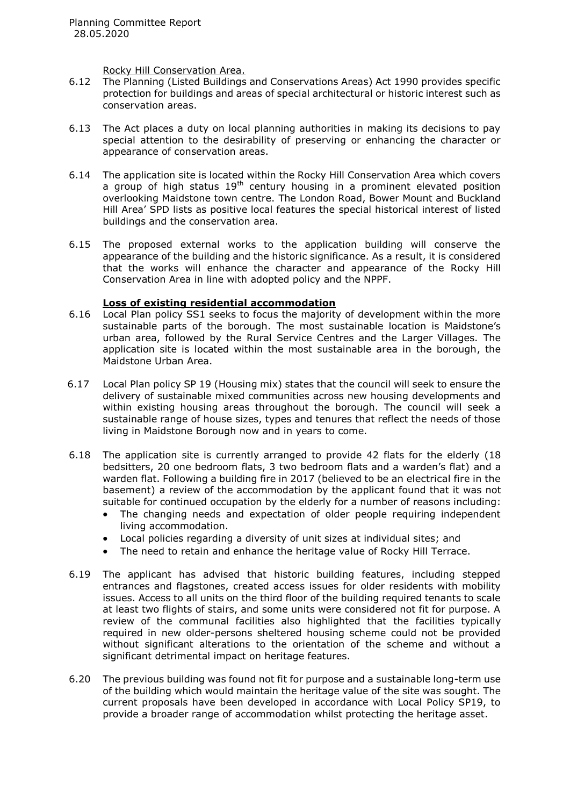Rocky Hill Conservation Area.

- 6.12 The Planning (Listed Buildings and Conservations Areas) Act 1990 provides specific protection for buildings and areas of special architectural or historic interest such as conservation areas.
- 6.13 The Act places a duty on local planning authorities in making its decisions to pay special attention to the desirability of preserving or enhancing the character or appearance of conservation areas.
- 6.14 The application site is located within the Rocky Hill Conservation Area which covers a group of high status  $19<sup>th</sup>$  century housing in a prominent elevated position overlooking Maidstone town centre. The London Road, Bower Mount and Buckland Hill Area' SPD lists as positive local features the special historical interest of listed buildings and the conservation area.
- 6.15 The proposed external works to the application building will conserve the appearance of the building and the historic significance. As a result, it is considered that the works will enhance the character and appearance of the Rocky Hill Conservation Area in line with adopted policy and the NPPF.

## **Loss of existing residential accommodation**

- 6.16 Local Plan policy SS1 seeks to focus the majority of development within the more sustainable parts of the borough. The most sustainable location is Maidstone's urban area, followed by the Rural Service Centres and the Larger Villages. The application site is located within the most sustainable area in the borough, the Maidstone Urban Area.
- 6.17 Local Plan policy SP 19 (Housing mix) states that the council will seek to ensure the delivery of sustainable mixed communities across new housing developments and within existing housing areas throughout the borough. The council will seek a sustainable range of house sizes, types and tenures that reflect the needs of those living in Maidstone Borough now and in years to come.
- 6.18 The application site is currently arranged to provide 42 flats for the elderly (18 bedsitters, 20 one bedroom flats, 3 two bedroom flats and a warden's flat) and a warden flat. Following a building fire in 2017 (believed to be an electrical fire in the basement) a review of the accommodation by the applicant found that it was not suitable for continued occupation by the elderly for a number of reasons including:
	- The changing needs and expectation of older people requiring independent living accommodation.
	- Local policies regarding a diversity of unit sizes at individual sites; and
	- The need to retain and enhance the heritage value of Rocky Hill Terrace.
- 6.19 The applicant has advised that historic building features, including stepped entrances and flagstones, created access issues for older residents with mobility issues. Access to all units on the third floor of the building required tenants to scale at least two flights of stairs, and some units were considered not fit for purpose. A review of the communal facilities also highlighted that the facilities typically required in new older-persons sheltered housing scheme could not be provided without significant alterations to the orientation of the scheme and without a significant detrimental impact on heritage features.
- 6.20 The previous building was found not fit for purpose and a sustainable long-term use of the building which would maintain the heritage value of the site was sought. The current proposals have been developed in accordance with Local Policy SP19, to provide a broader range of accommodation whilst protecting the heritage asset.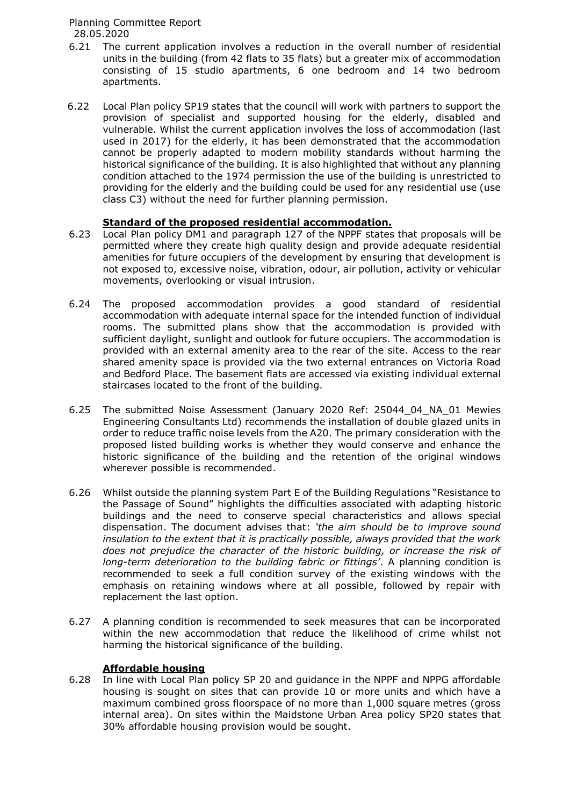- 6.21 The current application involves a reduction in the overall number of residential units in the building (from 42 flats to 35 flats) but a greater mix of accommodation consisting of 15 studio apartments, 6 one bedroom and 14 two bedroom apartments.
- 6.22 Local Plan policy SP19 states that the council will work with partners to support the provision of specialist and supported housing for the elderly, disabled and vulnerable. Whilst the current application involves the loss of accommodation (last used in 2017) for the elderly, it has been demonstrated that the accommodation cannot be properly adapted to modern mobility standards without harming the historical significance of the building. It is also highlighted that without any planning condition attached to the 1974 permission the use of the building is unrestricted to providing for the elderly and the building could be used for any residential use (use class C3) without the need for further planning permission.

# **Standard of the proposed residential accommodation.**

- 6.23 Local Plan policy DM1 and paragraph 127 of the NPPF states that proposals will be permitted where they create high quality design and provide adequate residential amenities for future occupiers of the development by ensuring that development is not exposed to, excessive noise, vibration, odour, air pollution, activity or vehicular movements, overlooking or visual intrusion.
- 6.24 The proposed accommodation provides a good standard of residential accommodation with adequate internal space for the intended function of individual rooms. The submitted plans show that the accommodation is provided with sufficient daylight, sunlight and outlook for future occupiers. The accommodation is provided with an external amenity area to the rear of the site. Access to the rear shared amenity space is provided via the two external entrances on Victoria Road and Bedford Place. The basement flats are accessed via existing individual external staircases located to the front of the building.
- 6.25 The submitted Noise Assessment (January 2020 Ref: 25044\_04\_NA\_01 Mewies Engineering Consultants Ltd) recommends the installation of double glazed units in order to reduce traffic noise levels from the A20. The primary consideration with the proposed listed building works is whether they would conserve and enhance the historic significance of the building and the retention of the original windows wherever possible is recommended.
- 6.26 Whilst outside the planning system Part E of the Building Regulations "Resistance to the Passage of Sound" highlights the difficulties associated with adapting historic buildings and the need to conserve special characteristics and allows special dispensation. The document advises that: *'the aim should be to improve sound insulation to the extent that it is practically possible, always provided that the work does not prejudice the character of the historic building, or increase the risk of long-term deterioration to the building fabric or fittings'*. A planning condition is recommended to seek a full condition survey of the existing windows with the emphasis on retaining windows where at all possible, followed by repair with replacement the last option.
- 6.27 A planning condition is recommended to seek measures that can be incorporated within the new accommodation that reduce the likelihood of crime whilst not harming the historical significance of the building.

# **Affordable housing**

6.28 In line with Local Plan policy SP 20 and guidance in the NPPF and NPPG affordable housing is sought on sites that can provide 10 or more units and which have a maximum combined gross floorspace of no more than 1,000 square metres (gross internal area). On sites within the Maidstone Urban Area policy SP20 states that 30% affordable housing provision would be sought.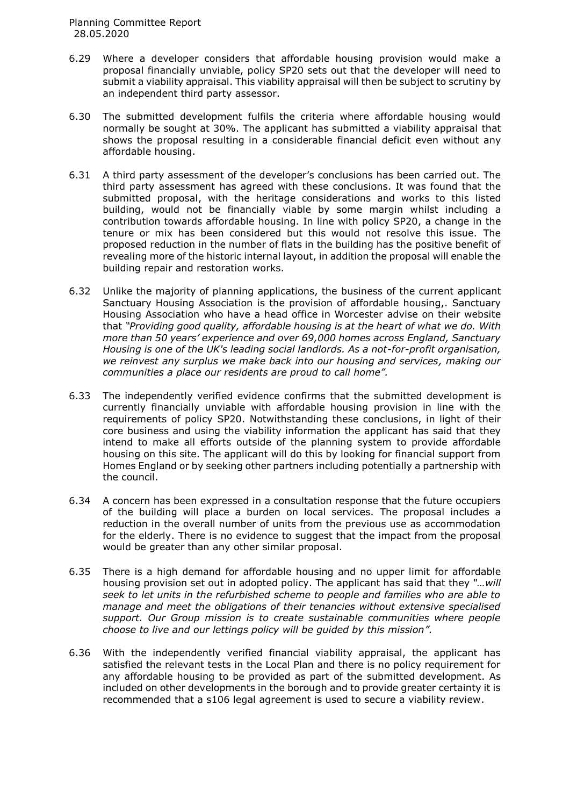- 6.29 Where a developer considers that affordable housing provision would make a proposal financially unviable, policy SP20 sets out that the developer will need to submit a viability appraisal. This viability appraisal will then be subject to scrutiny by an independent third party assessor.
- 6.30 The submitted development fulfils the criteria where affordable housing would normally be sought at 30%. The applicant has submitted a viability appraisal that shows the proposal resulting in a considerable financial deficit even without any affordable housing.
- 6.31 A third party assessment of the developer's conclusions has been carried out. The third party assessment has agreed with these conclusions. It was found that the submitted proposal, with the heritage considerations and works to this listed building, would not be financially viable by some margin whilst including a contribution towards affordable housing. In line with policy SP20, a change in the tenure or mix has been considered but this would not resolve this issue. The proposed reduction in the number of flats in the building has the positive benefit of revealing more of the historic internal layout, in addition the proposal will enable the building repair and restoration works.
- 6.32 Unlike the majority of planning applications, the business of the current applicant Sanctuary Housing Association is the provision of affordable housing,. Sanctuary Housing Association who have a head office in Worcester advise on their website that *"Providing good quality, affordable housing is at the heart of what we do. With more than 50 years' experience and over 69,000 homes across England, Sanctuary Housing is one of the UK's leading social landlords. As a not-for-profit organisation, we reinvest any surplus we make back into our housing and services, making our communities a place our residents are proud to call home".*
- 6.33 The independently verified evidence confirms that the submitted development is currently financially unviable with affordable housing provision in line with the requirements of policy SP20. Notwithstanding these conclusions, in light of their core business and using the viability information the applicant has said that they intend to make all efforts outside of the planning system to provide affordable housing on this site. The applicant will do this by looking for financial support from Homes England or by seeking other partners including potentially a partnership with the council.
- 6.34 A concern has been expressed in a consultation response that the future occupiers of the building will place a burden on local services. The proposal includes a reduction in the overall number of units from the previous use as accommodation for the elderly. There is no evidence to suggest that the impact from the proposal would be greater than any other similar proposal.
- 6.35 There is a high demand for affordable housing and no upper limit for affordable housing provision set out in adopted policy. The applicant has said that they *"…will seek to let units in the refurbished scheme to people and families who are able to manage and meet the obligations of their tenancies without extensive specialised support. Our Group mission is to create sustainable communities where people choose to live and our lettings policy will be guided by this mission".*
- 6.36 With the independently verified financial viability appraisal, the applicant has satisfied the relevant tests in the Local Plan and there is no policy requirement for any affordable housing to be provided as part of the submitted development. As included on other developments in the borough and to provide greater certainty it is recommended that a s106 legal agreement is used to secure a viability review.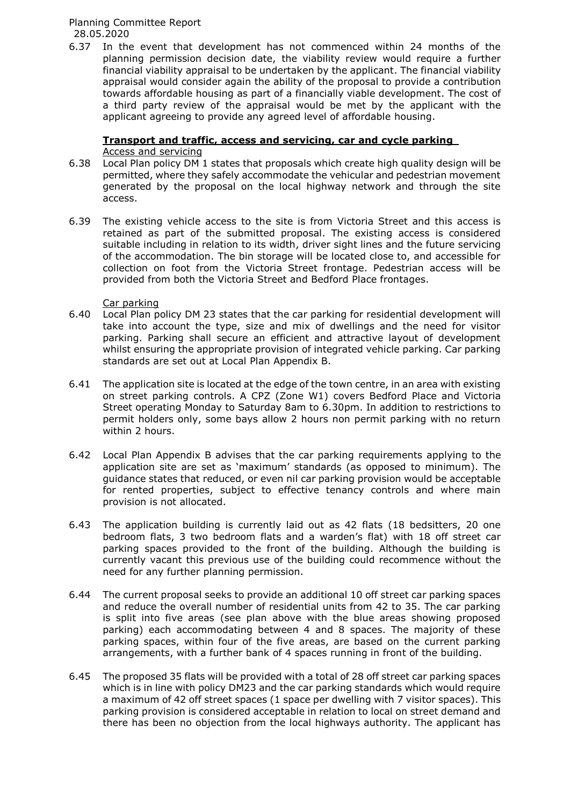6.37 In the event that development has not commenced within 24 months of the planning permission decision date, the viability review would require a further financial viability appraisal to be undertaken by the applicant. The financial viability appraisal would consider again the ability of the proposal to provide a contribution towards affordable housing as part of a financially viable development. The cost of a third party review of the appraisal would be met by the applicant with the applicant agreeing to provide any agreed level of affordable housing.

## **Transport and traffic, access and servicing, car and cycle parking** Access and servicing

- 6.38 Local Plan policy DM 1 states that proposals which create high quality design will be permitted, where they safely accommodate the vehicular and pedestrian movement generated by the proposal on the local highway network and through the site access.
- 6.39 The existing vehicle access to the site is from Victoria Street and this access is retained as part of the submitted proposal. The existing access is considered suitable including in relation to its width, driver sight lines and the future servicing of the accommodation. The bin storage will be located close to, and accessible for collection on foot from the Victoria Street frontage. Pedestrian access will be provided from both the Victoria Street and Bedford Place frontages.

## Car parking

- 6.40 Local Plan policy DM 23 states that the car parking for residential development will take into account the type, size and mix of dwellings and the need for visitor parking. Parking shall secure an efficient and attractive layout of development whilst ensuring the appropriate provision of integrated vehicle parking. Car parking standards are set out at Local Plan Appendix B.
- 6.41 The application site is located at the edge of the town centre, in an area with existing on street parking controls. A CPZ (Zone W1) covers Bedford Place and Victoria Street operating Monday to Saturday 8am to 6.30pm. In addition to restrictions to permit holders only, some bays allow 2 hours non permit parking with no return within 2 hours.
- 6.42 Local Plan Appendix B advises that the car parking requirements applying to the application site are set as 'maximum' standards (as opposed to minimum). The guidance states that reduced, or even nil car parking provision would be acceptable for rented properties, subject to effective tenancy controls and where main provision is not allocated.
- 6.43 The application building is currently laid out as 42 flats (18 bedsitters, 20 one bedroom flats, 3 two bedroom flats and a warden's flat) with 18 off street car parking spaces provided to the front of the building. Although the building is currently vacant this previous use of the building could recommence without the need for any further planning permission.
- 6.44 The current proposal seeks to provide an additional 10 off street car parking spaces and reduce the overall number of residential units from 42 to 35. The car parking is split into five areas (see plan above with the blue areas showing proposed parking) each accommodating between 4 and 8 spaces. The majority of these parking spaces, within four of the five areas, are based on the current parking arrangements, with a further bank of 4 spaces running in front of the building.
- 6.45 The proposed 35 flats will be provided with a total of 28 off street car parking spaces which is in line with policy DM23 and the car parking standards which would require a maximum of 42 off street spaces (1 space per dwelling with 7 visitor spaces). This parking provision is considered acceptable in relation to local on street demand and there has been no objection from the local highways authority. The applicant has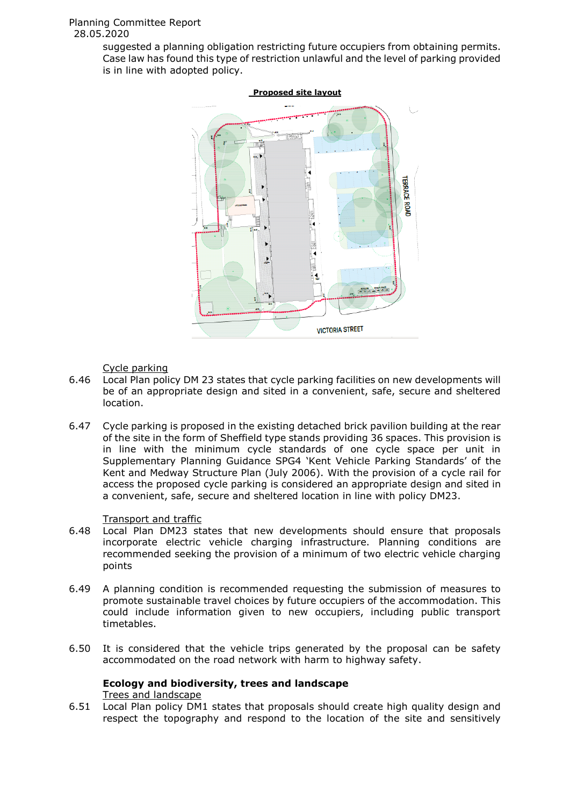suggested a planning obligation restricting future occupiers from obtaining permits. Case law has found this type of restriction unlawful and the level of parking provided is in line with adopted policy.



## Cycle parking

- 6.46 Local Plan policy DM 23 states that cycle parking facilities on new developments will be of an appropriate design and sited in a convenient, safe, secure and sheltered location.
- 6.47 Cycle parking is proposed in the existing detached brick pavilion building at the rear of the site in the form of Sheffield type stands providing 36 spaces. This provision is in line with the minimum cycle standards of one cycle space per unit in Supplementary Planning Guidance SPG4 'Kent Vehicle Parking Standards' of the Kent and Medway Structure Plan (July 2006). With the provision of a cycle rail for access the proposed cycle parking is considered an appropriate design and sited in a convenient, safe, secure and sheltered location in line with policy DM23.

## Transport and traffic

- 6.48 Local Plan DM23 states that new developments should ensure that proposals incorporate electric vehicle charging infrastructure. Planning conditions are recommended seeking the provision of a minimum of two electric vehicle charging points
- 6.49 A planning condition is recommended requesting the submission of measures to promote sustainable travel choices by future occupiers of the accommodation. This could include information given to new occupiers, including public transport timetables.
- 6.50 It is considered that the vehicle trips generated by the proposal can be safety accommodated on the road network with harm to highway safety.

# **Ecology and biodiversity, trees and landscape**

Trees and landscape

6.51 Local Plan policy DM1 states that proposals should create high quality design and respect the topography and respond to the location of the site and sensitively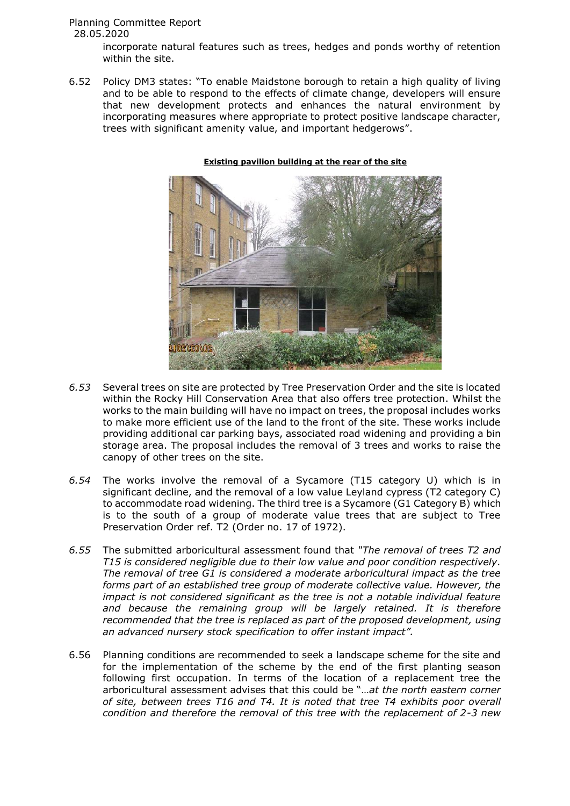incorporate natural features such as trees, hedges and ponds worthy of retention within the site.

6.52 Policy DM3 states: "To enable Maidstone borough to retain a high quality of living and to be able to respond to the effects of climate change, developers will ensure that new development protects and enhances the natural environment by incorporating measures where appropriate to protect positive landscape character, trees with significant amenity value, and important hedgerows".



#### **Existing pavilion building at the rear of the site**

- *6.53* Several trees on site are protected by Tree Preservation Order and the site is located within the Rocky Hill Conservation Area that also offers tree protection. Whilst the works to the main building will have no impact on trees, the proposal includes works to make more efficient use of the land to the front of the site. These works include providing additional car parking bays, associated road widening and providing a bin storage area. The proposal includes the removal of 3 trees and works to raise the canopy of other trees on the site.
- *6.54* The works involve the removal of a Sycamore (T15 category U) which is in significant decline, and the removal of a low value Leyland cypress (T2 category C) to accommodate road widening. The third tree is a Sycamore (G1 Category B) which is to the south of a group of moderate value trees that are subject to Tree Preservation Order ref. T2 (Order no. 17 of 1972).
- *6.55* The submitted arboricultural assessment found that *"The removal of trees T2 and T15 is considered negligible due to their low value and poor condition respectively. The removal of tree G1 is considered a moderate arboricultural impact as the tree forms part of an established tree group of moderate collective value. However, the impact is not considered significant as the tree is not a notable individual feature and because the remaining group will be largely retained. It is therefore recommended that the tree is replaced as part of the proposed development, using an advanced nursery stock specification to offer instant impact".*
- 6.56 Planning conditions are recommended to seek a landscape scheme for the site and for the implementation of the scheme by the end of the first planting season following first occupation. In terms of the location of a replacement tree the arboricultural assessment advises that this could be "…*at the north eastern corner of site, between trees T16 and T4. It is noted that tree T4 exhibits poor overall condition and therefore the removal of this tree with the replacement of 2-3 new*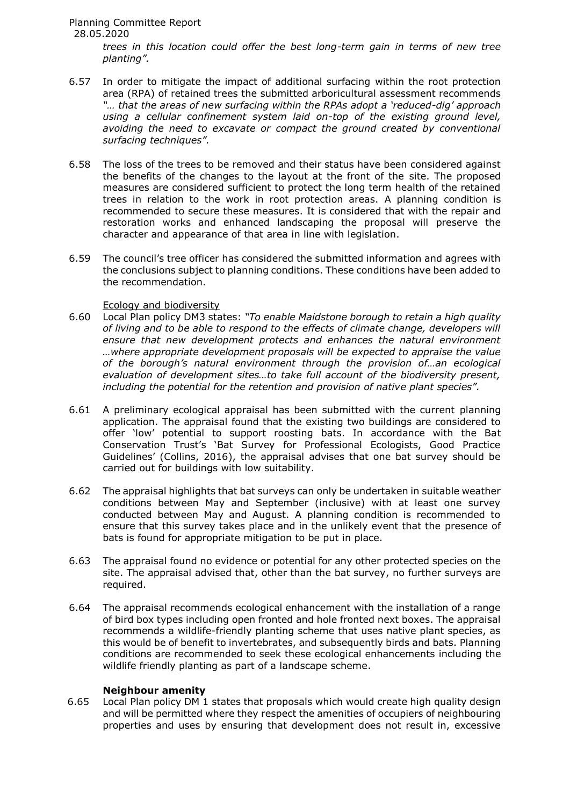*trees in this location could offer the best long-term gain in terms of new tree planting".*

- 6.57 In order to mitigate the impact of additional surfacing within the root protection area (RPA) of retained trees the submitted arboricultural assessment recommends *"… that the areas of new surfacing within the RPAs adopt a 'reduced-dig' approach using a cellular confinement system laid on-top of the existing ground level, avoiding the need to excavate or compact the ground created by conventional surfacing techniques".*
- 6.58 The loss of the trees to be removed and their status have been considered against the benefits of the changes to the layout at the front of the site. The proposed measures are considered sufficient to protect the long term health of the retained trees in relation to the work in root protection areas. A planning condition is recommended to secure these measures. It is considered that with the repair and restoration works and enhanced landscaping the proposal will preserve the character and appearance of that area in line with legislation.
- 6.59 The council's tree officer has considered the submitted information and agrees with the conclusions subject to planning conditions. These conditions have been added to the recommendation.

## Ecology and biodiversity

- 6.60 Local Plan policy DM3 states: *"To enable Maidstone borough to retain a high quality of living and to be able to respond to the effects of climate change, developers will ensure that new development protects and enhances the natural environment …where appropriate development proposals will be expected to appraise the value of the borough's natural environment through the provision of…an ecological evaluation of development sites…to take full account of the biodiversity present, including the potential for the retention and provision of native plant species".*
- 6.61 A preliminary ecological appraisal has been submitted with the current planning application. The appraisal found that the existing two buildings are considered to offer 'low' potential to support roosting bats. In accordance with the Bat Conservation Trust's 'Bat Survey for Professional Ecologists, Good Practice Guidelines' (Collins, 2016), the appraisal advises that one bat survey should be carried out for buildings with low suitability.
- 6.62 The appraisal highlights that bat surveys can only be undertaken in suitable weather conditions between May and September (inclusive) with at least one survey conducted between May and August. A planning condition is recommended to ensure that this survey takes place and in the unlikely event that the presence of bats is found for appropriate mitigation to be put in place.
- 6.63 The appraisal found no evidence or potential for any other protected species on the site. The appraisal advised that, other than the bat survey, no further surveys are required.
- 6.64 The appraisal recommends ecological enhancement with the installation of a range of bird box types including open fronted and hole fronted next boxes. The appraisal recommends a wildlife-friendly planting scheme that uses native plant species, as this would be of benefit to invertebrates, and subsequently birds and bats. Planning conditions are recommended to seek these ecological enhancements including the wildlife friendly planting as part of a landscape scheme.

#### **Neighbour amenity**

6.65 Local Plan policy DM 1 states that proposals which would create high quality design and will be permitted where they respect the amenities of occupiers of neighbouring properties and uses by ensuring that development does not result in, excessive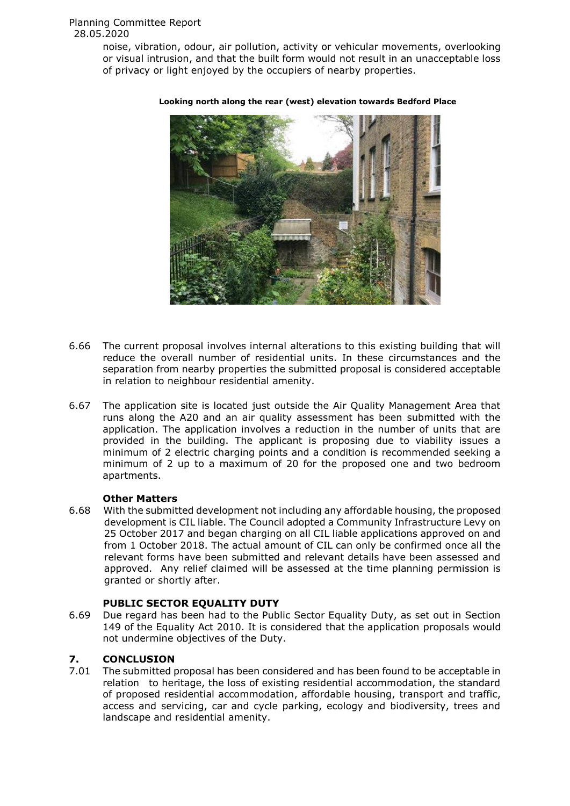noise, vibration, odour, air pollution, activity or vehicular movements, overlooking or visual intrusion, and that the built form would not result in an unacceptable loss of privacy or light enjoyed by the occupiers of nearby properties.



#### **Looking north along the rear (west) elevation towards Bedford Place**

- 6.66 The current proposal involves internal alterations to this existing building that will reduce the overall number of residential units. In these circumstances and the separation from nearby properties the submitted proposal is considered acceptable in relation to neighbour residential amenity.
- 6.67 The application site is located just outside the Air Quality Management Area that runs along the A20 and an air quality assessment has been submitted with the application. The application involves a reduction in the number of units that are provided in the building. The applicant is proposing due to viability issues a minimum of 2 electric charging points and a condition is recommended seeking a minimum of 2 up to a maximum of 20 for the proposed one and two bedroom apartments.

## **Other Matters**

6.68 With the submitted development not including any affordable housing, the proposed development is CIL liable. The Council adopted a Community Infrastructure Levy on 25 October 2017 and began charging on all CIL liable applications approved on and from 1 October 2018. The actual amount of CIL can only be confirmed once all the relevant forms have been submitted and relevant details have been assessed and approved. Any relief claimed will be assessed at the time planning permission is granted or shortly after.

## **PUBLIC SECTOR EQUALITY DUTY**

6.69 Due regard has been had to the Public Sector Equality Duty, as set out in Section 149 of the Equality Act 2010. It is considered that the application proposals would not undermine objectives of the Duty.

# **7. CONCLUSION**

7.01 The submitted proposal has been considered and has been found to be acceptable in relation to heritage, the loss of existing residential accommodation, the standard of proposed residential accommodation, affordable housing, transport and traffic, access and servicing, car and cycle parking, ecology and biodiversity, trees and landscape and residential amenity.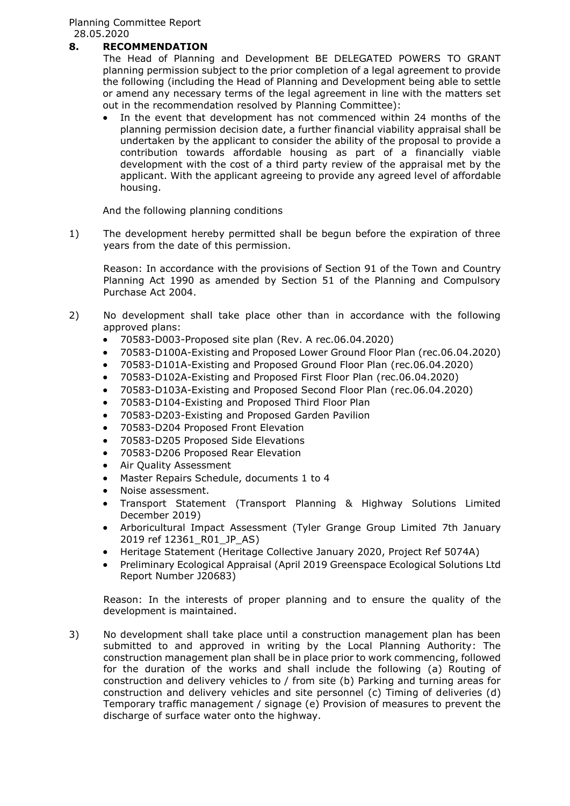# **8. RECOMMENDATION**

The Head of Planning and Development BE DELEGATED POWERS TO GRANT planning permission subject to the prior completion of a legal agreement to provide the following (including the Head of Planning and Development being able to settle or amend any necessary terms of the legal agreement in line with the matters set out in the recommendation resolved by Planning Committee):

 In the event that development has not commenced within 24 months of the planning permission decision date, a further financial viability appraisal shall be undertaken by the applicant to consider the ability of the proposal to provide a contribution towards affordable housing as part of a financially viable development with the cost of a third party review of the appraisal met by the applicant. With the applicant agreeing to provide any agreed level of affordable housing.

And the following planning conditions

1) The development hereby permitted shall be begun before the expiration of three years from the date of this permission.

Reason: In accordance with the provisions of Section 91 of the Town and Country Planning Act 1990 as amended by Section 51 of the Planning and Compulsory Purchase Act 2004.

- 2) No development shall take place other than in accordance with the following approved plans:
	- 70583-D003-Proposed site plan (Rev. A rec.06.04.2020)
	- 70583-D100A-Existing and Proposed Lower Ground Floor Plan (rec.06.04.2020)
	- 70583-D101A-Existing and Proposed Ground Floor Plan (rec.06.04.2020)
	- 70583-D102A-Existing and Proposed First Floor Plan (rec.06.04.2020)
	- 70583-D103A-Existing and Proposed Second Floor Plan (rec.06.04.2020)
	- 70583-D104-Existing and Proposed Third Floor Plan
	- 70583-D203-Existing and Proposed Garden Pavilion
	- 70583-D204 Proposed Front Elevation
	- 70583-D205 Proposed Side Elevations
	- 70583-D206 Proposed Rear Elevation
	- Air Quality Assessment
	- Master Repairs Schedule, documents 1 to 4
	- Noise assessment.
	- Transport Statement (Transport Planning & Highway Solutions Limited December 2019)
	- Arboricultural Impact Assessment (Tyler Grange Group Limited 7th January 2019 ref 12361\_R01\_JP\_AS)
	- Heritage Statement (Heritage Collective January 2020, Project Ref 5074A)
	- Preliminary Ecological Appraisal (April 2019 Greenspace Ecological Solutions Ltd Report Number J20683)

Reason: In the interests of proper planning and to ensure the quality of the development is maintained.

3) No development shall take place until a construction management plan has been submitted to and approved in writing by the Local Planning Authority: The construction management plan shall be in place prior to work commencing, followed for the duration of the works and shall include the following (a) Routing of construction and delivery vehicles to / from site (b) Parking and turning areas for construction and delivery vehicles and site personnel (c) Timing of deliveries (d) Temporary traffic management / signage (e) Provision of measures to prevent the discharge of surface water onto the highway.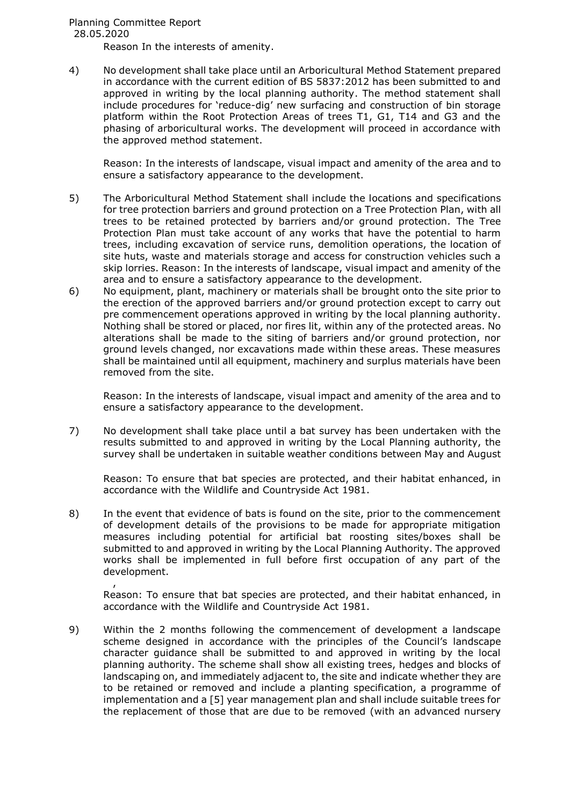Reason In the interests of amenity.

4) No development shall take place until an Arboricultural Method Statement prepared in accordance with the current edition of BS 5837:2012 has been submitted to and approved in writing by the local planning authority. The method statement shall include procedures for 'reduce-dig' new surfacing and construction of bin storage platform within the Root Protection Areas of trees T1, G1, T14 and G3 and the phasing of arboricultural works. The development will proceed in accordance with the approved method statement.

Reason: In the interests of landscape, visual impact and amenity of the area and to ensure a satisfactory appearance to the development.

- 5) The Arboricultural Method Statement shall include the locations and specifications for tree protection barriers and ground protection on a Tree Protection Plan, with all trees to be retained protected by barriers and/or ground protection. The Tree Protection Plan must take account of any works that have the potential to harm trees, including excavation of service runs, demolition operations, the location of site huts, waste and materials storage and access for construction vehicles such a skip lorries. Reason: In the interests of landscape, visual impact and amenity of the area and to ensure a satisfactory appearance to the development.
- 6) No equipment, plant, machinery or materials shall be brought onto the site prior to the erection of the approved barriers and/or ground protection except to carry out pre commencement operations approved in writing by the local planning authority. Nothing shall be stored or placed, nor fires lit, within any of the protected areas. No alterations shall be made to the siting of barriers and/or ground protection, nor ground levels changed, nor excavations made within these areas. These measures shall be maintained until all equipment, machinery and surplus materials have been removed from the site.

Reason: In the interests of landscape, visual impact and amenity of the area and to ensure a satisfactory appearance to the development.

7) No development shall take place until a bat survey has been undertaken with the results submitted to and approved in writing by the Local Planning authority, the survey shall be undertaken in suitable weather conditions between May and August

Reason: To ensure that bat species are protected, and their habitat enhanced, in accordance with the Wildlife and Countryside Act 1981.

8) In the event that evidence of bats is found on the site, prior to the commencement of development details of the provisions to be made for appropriate mitigation measures including potential for artificial bat roosting sites/boxes shall be submitted to and approved in writing by the Local Planning Authority. The approved works shall be implemented in full before first occupation of any part of the development.

, Reason: To ensure that bat species are protected, and their habitat enhanced, in accordance with the Wildlife and Countryside Act 1981.

9) Within the 2 months following the commencement of development a landscape scheme designed in accordance with the principles of the Council's landscape character guidance shall be submitted to and approved in writing by the local planning authority. The scheme shall show all existing trees, hedges and blocks of landscaping on, and immediately adjacent to, the site and indicate whether they are to be retained or removed and include a planting specification, a programme of implementation and a [5] year management plan and shall include suitable trees for the replacement of those that are due to be removed (with an advanced nursery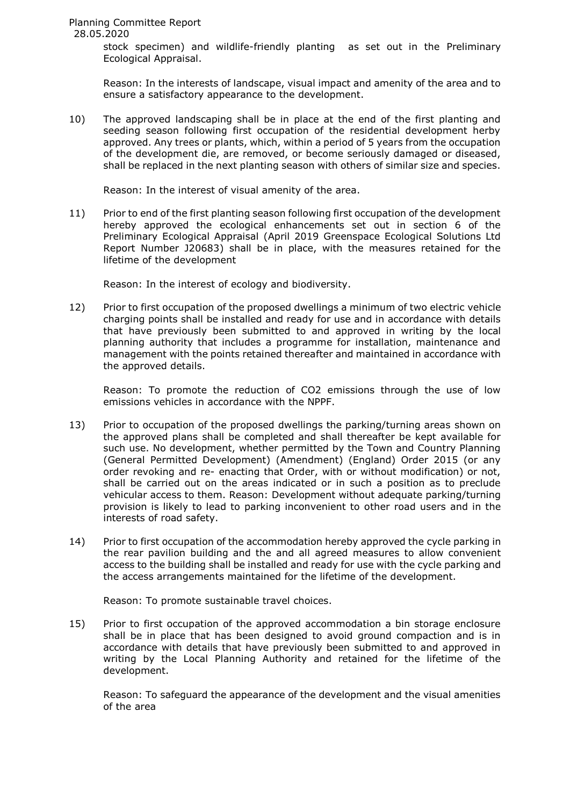> stock specimen) and wildlife-friendly planting as set out in the Preliminary Ecological Appraisal.

> Reason: In the interests of landscape, visual impact and amenity of the area and to ensure a satisfactory appearance to the development.

10) The approved landscaping shall be in place at the end of the first planting and seeding season following first occupation of the residential development herby approved. Any trees or plants, which, within a period of 5 years from the occupation of the development die, are removed, or become seriously damaged or diseased, shall be replaced in the next planting season with others of similar size and species.

Reason: In the interest of visual amenity of the area.

11) Prior to end of the first planting season following first occupation of the development hereby approved the ecological enhancements set out in section 6 of the Preliminary Ecological Appraisal (April 2019 Greenspace Ecological Solutions Ltd Report Number J20683) shall be in place, with the measures retained for the lifetime of the development

Reason: In the interest of ecology and biodiversity.

12) Prior to first occupation of the proposed dwellings a minimum of two electric vehicle charging points shall be installed and ready for use and in accordance with details that have previously been submitted to and approved in writing by the local planning authority that includes a programme for installation, maintenance and management with the points retained thereafter and maintained in accordance with the approved details.

Reason: To promote the reduction of CO2 emissions through the use of low emissions vehicles in accordance with the NPPF.

- 13) Prior to occupation of the proposed dwellings the parking/turning areas shown on the approved plans shall be completed and shall thereafter be kept available for such use. No development, whether permitted by the Town and Country Planning (General Permitted Development) (Amendment) (England) Order 2015 (or any order revoking and re- enacting that Order, with or without modification) or not, shall be carried out on the areas indicated or in such a position as to preclude vehicular access to them. Reason: Development without adequate parking/turning provision is likely to lead to parking inconvenient to other road users and in the interests of road safety.
- 14) Prior to first occupation of the accommodation hereby approved the cycle parking in the rear pavilion building and the and all agreed measures to allow convenient access to the building shall be installed and ready for use with the cycle parking and the access arrangements maintained for the lifetime of the development.

Reason: To promote sustainable travel choices.

15) Prior to first occupation of the approved accommodation a bin storage enclosure shall be in place that has been designed to avoid ground compaction and is in accordance with details that have previously been submitted to and approved in writing by the Local Planning Authority and retained for the lifetime of the development.

Reason: To safeguard the appearance of the development and the visual amenities of the area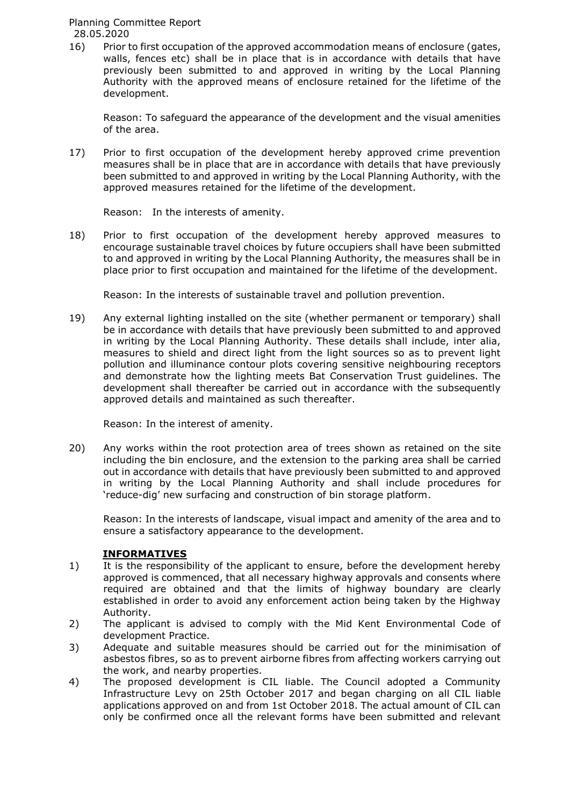16) Prior to first occupation of the approved accommodation means of enclosure (gates, walls, fences etc) shall be in place that is in accordance with details that have previously been submitted to and approved in writing by the Local Planning Authority with the approved means of enclosure retained for the lifetime of the development.

Reason: To safeguard the appearance of the development and the visual amenities of the area.

17) Prior to first occupation of the development hereby approved crime prevention measures shall be in place that are in accordance with details that have previously been submitted to and approved in writing by the Local Planning Authority, with the approved measures retained for the lifetime of the development.

Reason: In the interests of amenity.

18) Prior to first occupation of the development hereby approved measures to encourage sustainable travel choices by future occupiers shall have been submitted to and approved in writing by the Local Planning Authority, the measures shall be in place prior to first occupation and maintained for the lifetime of the development.

Reason: In the interests of sustainable travel and pollution prevention.

19) Any external lighting installed on the site (whether permanent or temporary) shall be in accordance with details that have previously been submitted to and approved in writing by the Local Planning Authority. These details shall include, inter alia, measures to shield and direct light from the light sources so as to prevent light pollution and illuminance contour plots covering sensitive neighbouring receptors and demonstrate how the lighting meets Bat Conservation Trust guidelines. The development shall thereafter be carried out in accordance with the subsequently approved details and maintained as such thereafter.

Reason: In the interest of amenity.

20) Any works within the root protection area of trees shown as retained on the site including the bin enclosure, and the extension to the parking area shall be carried out in accordance with details that have previously been submitted to and approved in writing by the Local Planning Authority and shall include procedures for 'reduce-dig' new surfacing and construction of bin storage platform.

Reason: In the interests of landscape, visual impact and amenity of the area and to ensure a satisfactory appearance to the development.

# **INFORMATIVES**

- 1) It is the responsibility of the applicant to ensure, before the development hereby approved is commenced, that all necessary highway approvals and consents where required are obtained and that the limits of highway boundary are clearly established in order to avoid any enforcement action being taken by the Highway Authority.
- 2) The applicant is advised to comply with the Mid Kent Environmental Code of development Practice.
- 3) Adequate and suitable measures should be carried out for the minimisation of asbestos fibres, so as to prevent airborne fibres from affecting workers carrying out the work, and nearby properties.
- 4) The proposed development is CIL liable. The Council adopted a Community Infrastructure Levy on 25th October 2017 and began charging on all CIL liable applications approved on and from 1st October 2018. The actual amount of CIL can only be confirmed once all the relevant forms have been submitted and relevant